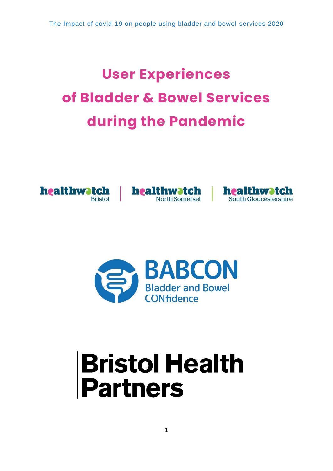# **User Experiences of Bladder & Bowel Services during the Pandemic**









# **Bristol Health<br>Partners**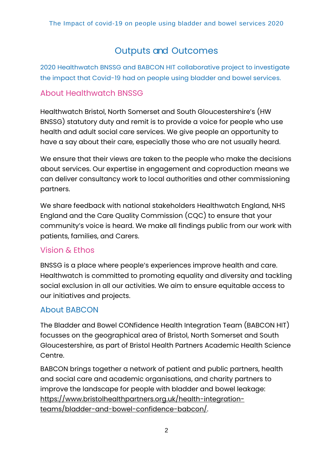# Outputs and Outcomes

2020 Healthwatch BNSSG and BABCON HIT collaborative project to investigate the impact that Covid-19 had on people using bladder and bowel services.

# About Healthwatch BNSSG

Healthwatch Bristol, North Somerset and South Gloucestershire's (HW BNSSG) statutory duty and remit is to provide a voice for people who use health and adult social care services. We give people an opportunity to have a say about their care, especially those who are not usually heard.

We ensure that their views are taken to the people who make the decisions about services. Our expertise in engagement and coproduction means we can deliver consultancy work to local authorities and other commissioning partners.

We share feedback with national stakeholders Healthwatch England, NHS England and the Care Quality Commission (CQC) to ensure that your community's voice is heard. We make all findings public from our work with patients, families, and Carers.

# Vision & Ethos

BNSSG is a place where people's experiences improve health and care. Healthwatch is committed to promoting equality and diversity and tackling social exclusion in all our activities. We aim to ensure equitable access to our initiatives and projects.

# About BABCON

The Bladder and Bowel CONfidence Health Integration Team (BABCON HIT) focusses on the geographical area of Bristol, North Somerset and South Gloucestershire, as part of Bristol Health Partners Academic Health Science Centre.

BABCON brings together a network of patient and public partners, health and social care and academic organisations, and charity partners to improve the landscape for people with bladder and bowel leakage: [https://www.bristolhealthpartners.org.uk/health-integration](https://www.bristolhealthpartners.org.uk/health-integration-teams/bladder-and-bowel-confidence-babcon/)[teams/bladder-and-bowel-confidence-babcon/.](https://www.bristolhealthpartners.org.uk/health-integration-teams/bladder-and-bowel-confidence-babcon/)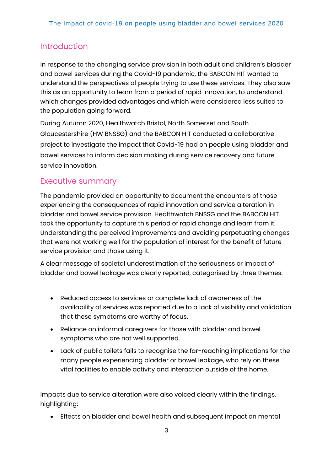# Introduction

In response to the changing service provision in both adult and children's bladder and bowel services during the Covid-19 pandemic, the BABCON HIT wanted to understand the perspectives of people trying to use these services. They also saw this as an opportunity to learn from a period of rapid innovation, to understand which changes provided advantages and which were considered less suited to the population going forward.

During Autumn 2020, Healthwatch Bristol, North Somerset and South Gloucestershire (HW BNSSG) and the BABCON HIT conducted a collaborative project to investigate the impact that Covid-19 had on people using bladder and bowel services to inform decision making during service recovery and future service innovation.

# Executive summary

The pandemic provided an opportunity to document the encounters of those experiencing the consequences of rapid innovation and service alteration in bladder and bowel service provision. Healthwatch BNSSG and the BABCON HIT took the opportunity to capture this period of rapid change and learn from it. Understanding the perceived improvements and avoiding perpetuating changes that were not working well for the population of interest for the benefit of future service provision and those using it.

A clear message of societal underestimation of the seriousness or impact of bladder and bowel leakage was clearly reported, categorised by three themes:

- Reduced access to services or complete lack of awareness of the availability of services was reported due to a lack of visibility and validation that these symptoms are worthy of focus.
- Reliance on informal caregivers for those with bladder and bowel symptoms who are not well supported.
- Lack of public toilets fails to recognise the far-reaching implications for the many people experiencing bladder or bowel leakage, who rely on these vital facilities to enable activity and interaction outside of the home.

Impacts due to service alteration were also voiced clearly within the findings, highlighting:

• Effects on bladder and bowel health and subsequent impact on mental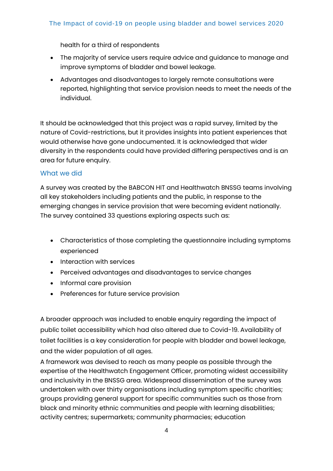health for a third of respondents

- The majority of service users require advice and guidance to manage and improve symptoms of bladder and bowel leakage.
- Advantages and disadvantages to largely remote consultations were reported, highlighting that service provision needs to meet the needs of the individual.

It should be acknowledged that this project was a rapid survey, limited by the nature of Covid-restrictions, but it provides insights into patient experiences that would otherwise have gone undocumented. It is acknowledged that wider diversity in the respondents could have provided differing perspectives and is an area for future enquiry.

#### What we did

A survey was created by the BABCON HIT and Healthwatch BNSSG teams involving all key stakeholders including patients and the public, in response to the emerging changes in service provision that were becoming evident nationally. The survey contained 33 questions exploring aspects such as:

- Characteristics of those completing the questionnaire including symptoms experienced
- Interaction with services
- Perceived advantages and disadvantages to service changes
- Informal care provision
- Preferences for future service provision

A broader approach was included to enable enquiry regarding the impact of public toilet accessibility which had also altered due to Covid-19. Availability of toilet facilities is a key consideration for people with bladder and bowel leakage, and the wider population of all ages.

A framework was devised to reach as many people as possible through the expertise of the Healthwatch Engagement Officer, promoting widest accessibility and inclusivity in the BNSSG area. Widespread dissemination of the survey was undertaken with over thirty organisations including symptom specific charities; groups providing general support for specific communities such as those from black and minority ethnic communities and people with learning disabilities; activity centres; supermarkets; community pharmacies; education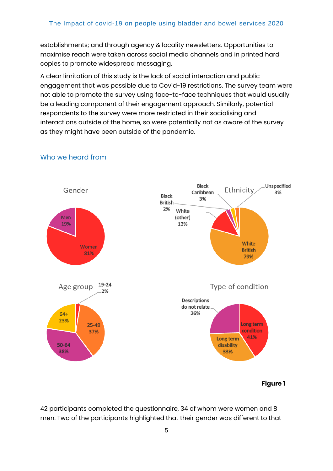establishments; and through agency & locality newsletters. Opportunities to maximise reach were taken across social media channels and in printed hard copies to promote widespread messaging.

A clear limitation of this study is the lack of social interaction and public engagement that was possible due to Covid-19 restrictions. The survey team were not able to promote the survey using face-to-face techniques that would usually be a leading component of their engagement approach. Similarly, potential respondents to the survey were more restricted in their socialising and interactions outside of the home, so were potentially not as aware of the survey as they might have been outside of the pandemic.



#### Who we heard from

**Figure 1**

42 participants completed the questionnaire, 34 of whom were women and 8 men. Two of the participants highlighted that their gender was different to that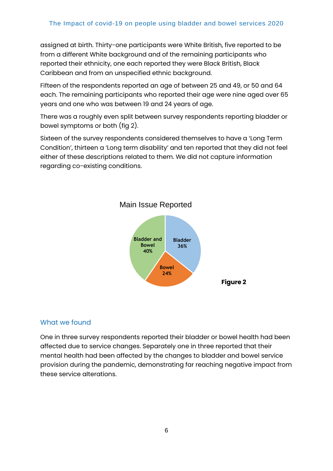assigned at birth. Thirty-one participants were White British, five reported to be from a different White background and of the remaining participants who reported their ethnicity, one each reported they were Black British, Black Caribbean and from an unspecified ethnic background.

Fifteen of the respondents reported an age of between 25 and 49, or 50 and 64 each. The remaining participants who reported their age were nine aged over 65 years and one who was between 19 and 24 years of age.

There was a roughly even split between survey respondents reporting bladder or bowel symptoms or both (fig 2).

Sixteen of the survey respondents considered themselves to have a 'Long Term Condition', thirteen a 'Long term disability' and ten reported that they did not feel either of these descriptions related to them. We did not capture information regarding co-existing conditions.



### Main Issue Reported

#### What we found

One in three survey respondents reported their bladder or bowel health had been affected due to service changes. Separately one in three reported that their mental health had been affected by the changes to bladder and bowel service provision during the pandemic, demonstrating far reaching negative impact from these service alterations.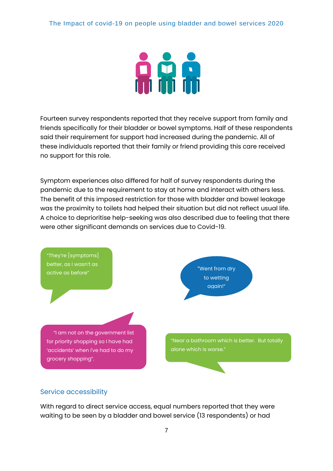

Fourteen survey respondents reported that they receive support from family and friends specifically for their bladder or bowel symptoms. Half of these respondents said their requirement for support had increased during the pandemic. All of these individuals reported that their family or friend providing this care received no support for this role.

Symptom experiences also differed for half of survey respondents during the pandemic due to the requirement to stay at home and interact with others less. The benefit of this imposed restriction for those with bladder and bowel leakage was the proximity to toilets had helped their situation but did not reflect usual life. A choice to deprioritise help-seeking was also described due to feeling that there were other significant demands on services due to Covid-19.



#### Service accessibility

With regard to direct service access, equal numbers reported that they were waiting to be seen by a bladder and bowel service (13 respondents) or had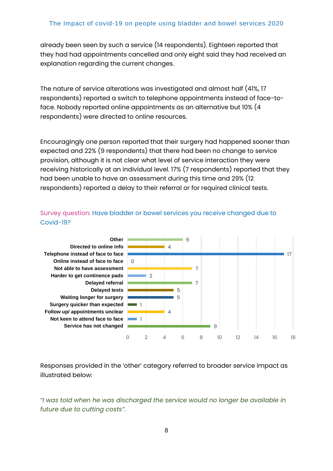already been seen by such a service (14 respondents). Eighteen reported that they had had appointments cancelled and only eight said they had received an explanation regarding the current changes.

The nature of service alterations was investigated and almost half (41%, 17 respondents) reported a switch to telephone appointments instead of face-toface. Nobody reported online appointments as an alternative but 10% (4 respondents) were directed to online resources.

Encouragingly one person reported that their surgery had happened sooner than expected and 22% (9 respondents) that there had been no change to service provision, although it is not clear what level of service interaction they were receiving historically at an individual level. 17% (7 respondents) reported that they had been unable to have an assessment during this time and 29% (12 respondents) reported a delay to their referral or for required clinical tests.



Survey question: Have bladder or bowel services you receive changed due to Covid-19?

Responses provided in the 'other' category referred to broader service impact as illustrated below:

*"I was told when he was discharged the service would no longer be available in future due to cutting costs".*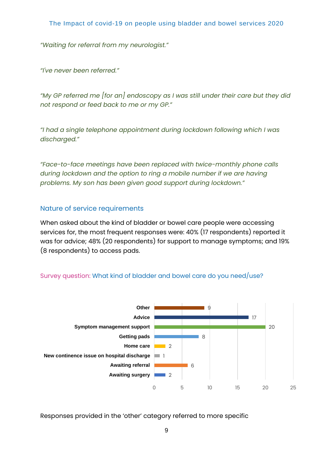*"Waiting for referral from my neurologist."*

*"I've never been referred."*

*"My GP referred me [for an] endoscopy as I was still under their care but they did not respond or feed back to me or my GP."*

*"I had a single telephone appointment during lockdown following which I was discharged."*

*"Face-to-face meetings have been replaced with twice-monthly phone calls during lockdown and the option to ring a mobile number if we are having problems. My son has been given good support during lockdown."*

#### Nature of service requirements

When asked about the kind of bladder or bowel care people were accessing services for, the most frequent responses were: 40% (17 respondents) reported it was for advice; 48% (20 respondents) for support to manage symptoms; and 19% (8 respondents) to access pads.

#### Survey question: What kind of bladder and bowel care do you need/use?



Responses provided in the 'other' category referred to more specific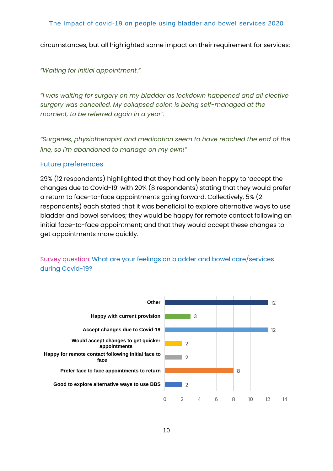circumstances, but all highlighted some impact on their requirement for services:

*"Waiting for initial appointment."*

*"I was waiting for surgery on my bladder as lockdown happened and all elective surgery was cancelled. My collapsed colon is being self-managed at the moment, to be referred again in a year".*

*"Surgeries, physiotherapist and medication seem to have reached the end of the line, so I'm abandoned to manage on my own!"*

#### Future preferences

29% (12 respondents) highlighted that they had only been happy to 'accept the changes due to Covid-19' with 20% (8 respondents) stating that they would prefer a return to face-to-face appointments going forward. Collectively, 5% (2 respondents) each stated that it was beneficial to explore alternative ways to use bladder and bowel services; they would be happy for remote contact following an initial face-to-face appointment; and that they would accept these changes to get appointments more quickly.

Survey question: What are your feelings on bladder and bowel care/services during Covid-19?

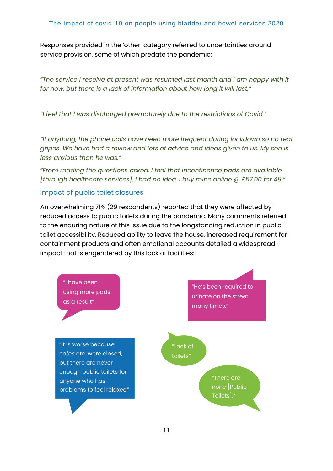Responses provided in the 'other' category referred to uncertainties around service provision, some of which predate the pandemic:

*"The service I receive at present was resumed last month and I am happy with it for now, but there is a lack of information about how long it will last."*

*"I feel that I was discharged prematurely due to the restrictions of Covid."*

*"If anything, the phone calls have been more frequent during lockdown so no real gripes. We have had a review and lots of advice and ideas given to us. My son is less anxious than he was."*

*"From reading the questions asked, I feel that incontinence pads are available [through healthcare services], I had no idea, I buy mine online @ £57.00 for 48."*

#### Impact of public toilet closures

An overwhelming 71% (29 respondents) reported that they were affected by reduced access to public toilets during the pandemic. Many comments referred to the enduring nature of this issue due to the longstanding reduction in public toilet accessibility. Reduced ability to leave the house, increased requirement for containment products and often emotional accounts detailed a widespread impact that is engendered by this lack of facilities:

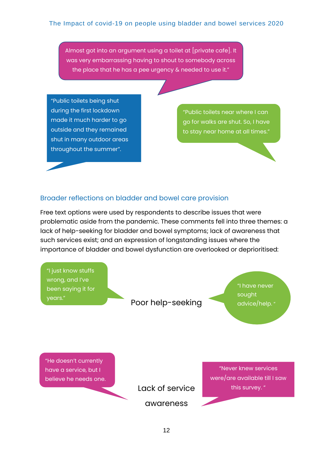Almost got into an argument using a toilet at [private cafe]. It was very embarrassing having to shout to somebody across the place that he has a pee urgency & needed to use it."

"Public toilets being shut during the first lockdown made it much harder to go outside and they remained shut in many outdoor areas throughout the summer".

"Public toilets near where I can go for walks are shut. So, I have to stay near home at all times."

#### Broader reflections on bladder and bowel care provision

Free text options were used by respondents to describe issues that were problematic aside from the pandemic. These comments fell into three themes: a lack of help-seeking for bladder and bowel symptoms; lack of awareness that such services exist; and an expression of longstanding issues where the importance of bladder and bowel dysfunction are overlooked or deprioritised:

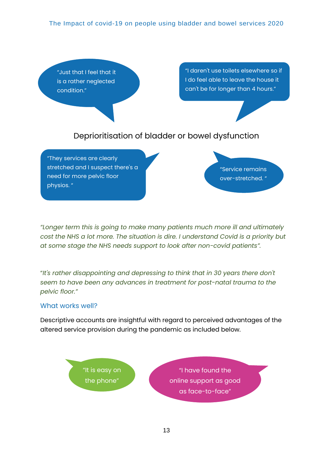

*"Longer term this is going to make many patients much more ill and ultimately cost the NHS a lot more. The situation is dire. I understand Covid is a priority but at some stage the NHS needs support to look after non-covid patients".*

"*It's rather disappointing and depressing to think that in 30 years there don't seem to have been any advances in treatment for post-natal trauma to the pelvic floor."*

#### What works well?

Descriptive accounts are insightful with regard to perceived advantages of the altered service provision during the pandemic as included below.

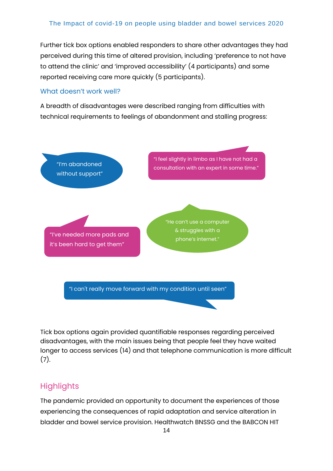Further tick box options enabled responders to share other advantages they had perceived during this time of altered provision, including 'preference to not have to attend the clinic' and 'improved accessibility' (4 participants) and some reported receiving care more quickly (5 participants).

#### What doesn't work well?

A breadth of disadvantages were described ranging from difficulties with technical requirements to feelings of abandonment and stalling progress:



Tick box options again provided quantifiable responses regarding perceived disadvantages, with the main issues being that people feel they have waited longer to access services (14) and that telephone communication is more difficult (7).

# **Highlights**

The pandemic provided an opportunity to document the experiences of those experiencing the consequences of rapid adaptation and service alteration in bladder and bowel service provision. Healthwatch BNSSG and the BABCON HIT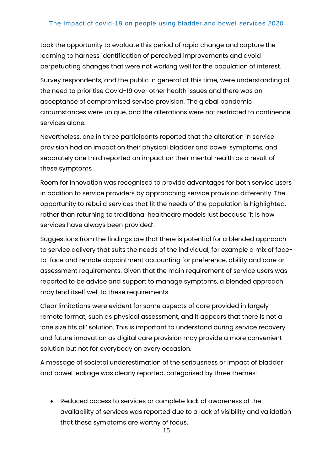took the opportunity to evaluate this period of rapid change and capture the learning to harness identification of perceived improvements and avoid perpetuating changes that were not working well for the population of interest.

Survey respondents, and the public in general at this time, were understanding of the need to prioritise Covid-19 over other health issues and there was an acceptance of compromised service provision. The global pandemic circumstances were unique, and the alterations were not restricted to continence services alone.

Nevertheless, one in three participants reported that the alteration in service provision had an impact on their physical bladder and bowel symptoms, and separately one third reported an impact on their mental health as a result of these symptoms

Room for innovation was recognised to provide advantages for both service users in addition to service providers by approaching service provision differently. The opportunity to rebuild services that fit the needs of the population is highlighted, rather than returning to traditional healthcare models just because 'it is how services have always been provided'.

Suggestions from the findings are that there is potential for a blended approach to service delivery that suits the needs of the individual, for example a mix of faceto-face and remote appointment accounting for preference, ability and care or assessment requirements. Given that the main requirement of service users was reported to be advice and support to manage symptoms, a blended approach may lend itself well to these requirements.

Clear limitations were evident for some aspects of care provided in largely remote format, such as physical assessment, and it appears that there is not a 'one size fits all' solution. This is important to understand during service recovery and future innovation as digital care provision may provide a more convenient solution but not for everybody on every occasion.

A message of societal underestimation of the seriousness or impact of bladder and bowel leakage was clearly reported, categorised by three themes:

• Reduced access to services or complete lack of awareness of the availability of services was reported due to a lack of visibility and validation that these symptoms are worthy of focus.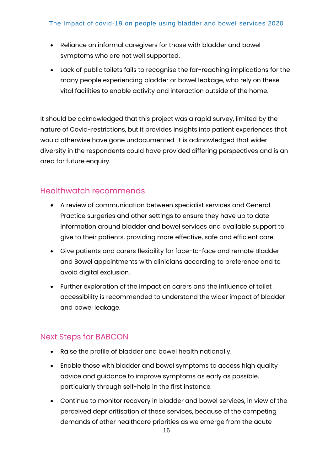- Reliance on informal caregivers for those with bladder and bowel symptoms who are not well supported.
- Lack of public toilets fails to recognise the far-reaching implications for the many people experiencing bladder or bowel leakage, who rely on these vital facilities to enable activity and interaction outside of the home.

It should be acknowledged that this project was a rapid survey, limited by the nature of Covid-restrictions, but it provides insights into patient experiences that would otherwise have gone undocumented. It is acknowledged that wider diversity in the respondents could have provided differing perspectives and is an area for future enquiry.

## Healthwatch recommends

- A review of communication between specialist services and General Practice surgeries and other settings to ensure they have up to date information around bladder and bowel services and available support to give to their patients, providing more effective, safe and efficient care.
- Give patients and carers flexibility for face-to-face and remote Bladder and Bowel appointments with clinicians according to preference and to avoid digital exclusion.
- Further exploration of the impact on carers and the influence of toilet accessibility is recommended to understand the wider impact of bladder and bowel leakage.

# Next Steps for BABCON

- Raise the profile of bladder and bowel health nationally.
- Enable those with bladder and bowel symptoms to access high quality advice and guidance to improve symptoms as early as possible, particularly through self-help in the first instance.
- Continue to monitor recovery in bladder and bowel services, in view of the perceived deprioritisation of these services, because of the competing demands of other healthcare priorities as we emerge from the acute